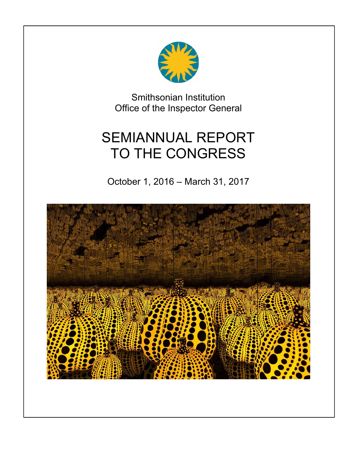

Smithsonian Institution Office of the Inspector General

# SEMIANNUAL REPORT TO THE CONGRESS

October 1, 2016 – March 31, 2017

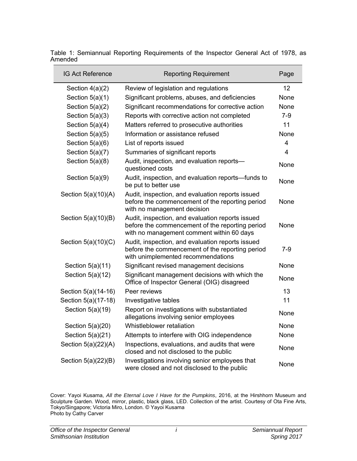| <b>IG Act Reference</b> | <b>Reporting Requirement</b>                                                                                                                     | Page  |
|-------------------------|--------------------------------------------------------------------------------------------------------------------------------------------------|-------|
| Section $4(a)(2)$       | Review of legislation and regulations                                                                                                            | 12    |
| Section $5(a)(1)$       | Significant problems, abuses, and deficiencies                                                                                                   | None  |
| Section $5(a)(2)$       | Significant recommendations for corrective action                                                                                                | None  |
| Section $5(a)(3)$       | Reports with corrective action not completed                                                                                                     | $7-9$ |
| Section $5(a)(4)$       | Matters referred to prosecutive authorities                                                                                                      | 11    |
| Section $5(a)(5)$       | Information or assistance refused                                                                                                                | None  |
| Section $5(a)(6)$       | List of reports issued                                                                                                                           | 4     |
| Section $5(a)(7)$       | Summaries of significant reports                                                                                                                 | 4     |
| Section $5(a)(8)$       | Audit, inspection, and evaluation reports-<br>questioned costs                                                                                   | None  |
| Section $5(a)(9)$       | Audit, inspection, and evaluation reports-funds to<br>be put to better use                                                                       | None  |
| Section $5(a)(10)(A)$   | Audit, inspection, and evaluation reports issued<br>before the commencement of the reporting period<br>with no management decision               | None  |
| Section 5(a)(10)(B)     | Audit, inspection, and evaluation reports issued<br>before the commencement of the reporting period<br>with no management comment within 60 days | None  |
| Section $5(a)(10)(C)$   | Audit, inspection, and evaluation reports issued<br>before the commencement of the reporting period<br>with unimplemented recommendations        | $7-9$ |
| Section $5(a)(11)$      | Significant revised management decisions                                                                                                         | None  |
| Section $5(a)(12)$      | Significant management decisions with which the<br>Office of Inspector General (OIG) disagreed                                                   | None  |
| Section 5(a)(14-16)     | Peer reviews                                                                                                                                     | 13    |
| Section 5(a)(17-18)     | Investigative tables                                                                                                                             | 11    |
| Section $5(a)(19)$      | Report on investigations with substantiated<br>allegations involving senior employees                                                            | None  |
| Section $5(a)(20)$      | Whistleblower retaliation                                                                                                                        | None  |
| Section $5(a)(21)$      | Attempts to interfere with OIG independence                                                                                                      | None  |
| Section $5(a)(22)(A)$   | Inspections, evaluations, and audits that were<br>closed and not disclosed to the public                                                         | None  |
| Section 5(a)(22)(B)     | Investigations involving senior employees that<br>were closed and not disclosed to the public                                                    | None  |

<span id="page-1-0"></span>Table 1: Semiannual Reporting Requirements of the Inspector General Act of 1978, as Amended

Cover: Yayoi Kusama, *All the Eternal Love I Have for the Pumpkins*, 2016, at the Hirshhorn Museum and Sculpture Garden. Wood, mirror, plastic, black glass, LED. Collection of the artist. Courtesy of Ota Fine Arts, Tokyo/Singapore; Victoria Miro, London. © Yayoi Kusama Photo by Cathy Carver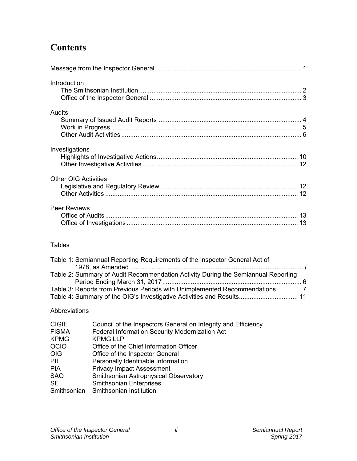# **Contents**

| Introduction                |
|-----------------------------|
| Audits                      |
| Investigations              |
| <b>Other OIG Activities</b> |
| <b>Peer Reviews</b>         |

#### Tables

| Table 1: Semiannual Reporting Requirements of the Inspector General Act of                                                                          |  |
|-----------------------------------------------------------------------------------------------------------------------------------------------------|--|
| Table 2: Summary of Audit Recommendation Activity During the Semiannual Reporting                                                                   |  |
| Table 3: Reports from Previous Periods with Unimplemented Recommendations7<br>Table 4: Summary of the OIG's Investigative Activities and Results 11 |  |

### Abbreviations

| <b>CIGIE</b><br><b>FISMA</b> | Council of the Inspectors General on Integrity and Efficiency<br>Federal Information Security Modernization Act |
|------------------------------|-----------------------------------------------------------------------------------------------------------------|
| <b>KPMG</b>                  | <b>KPMG LLP</b>                                                                                                 |
| <b>OCIO</b>                  | Office of the Chief Information Officer                                                                         |
| <b>OIG</b>                   | Office of the Inspector General                                                                                 |
| PII                          | Personally Identifiable Information                                                                             |
| <b>PIA</b>                   | <b>Privacy Impact Assessment</b>                                                                                |
| <b>SAO</b>                   | Smithsonian Astrophysical Observatory                                                                           |
| <b>SE</b>                    | <b>Smithsonian Enterprises</b>                                                                                  |
| Smithsonian                  | Smithsonian Institution                                                                                         |
|                              |                                                                                                                 |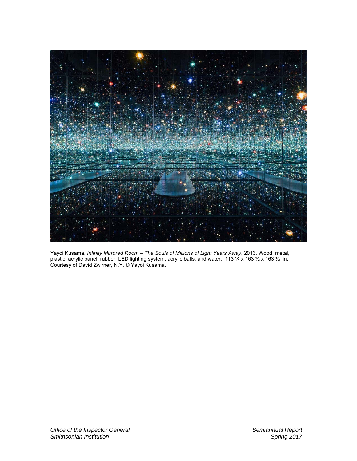

Yayoi Kusama, *Infinity Mirrored Room – The Souls of Millions of Light Years Away*, 2013. Wood, metal, plastic, acrylic panel, rubber, LED lighting system, acrylic balls, and water.113 ¼ x 163 ½ x 163 ½ in. Courtesy of David Zwirner, N.Y. © Yayoi Kusama.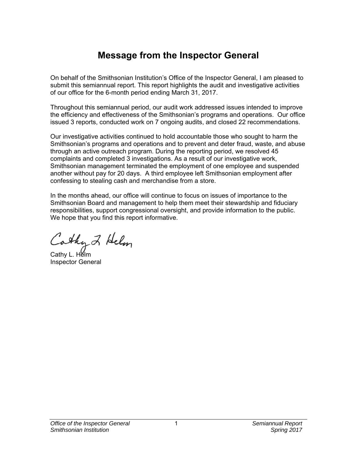# **Message from the Inspector General**

<span id="page-4-0"></span>On behalf of the Smithsonian Institution's Office of the Inspector General, I am pleased to submit this semiannual report. This report highlights the audit and investigative activities of our office for the 6-month period ending March 31, 2017.

Throughout this semiannual period, our audit work addressed issues intended to improve the efficiency and effectiveness of the Smithsonian's programs and operations. Our office issued 3 reports, conducted work on 7 ongoing audits, and closed 22 recommendations.

Our investigative activities continued to hold accountable those who sought to harm the Smithsonian's programs and operations and to prevent and deter fraud, waste, and abuse through an active outreach program. During the reporting period, we resolved 45 complaints and completed 3 investigations. As a result of our investigative work, Smithsonian management terminated the employment of one employee and suspended another without pay for 20 days. A third employee left Smithsonian employment after confessing to stealing cash and merchandise from a store.

In the months ahead, our office will continue to focus on issues of importance to the Smithsonian Board and management to help them meet their stewardship and fiduciary responsibilities, support congressional oversight, and provide information to the public. We hope that you find this report informative.

Cathy 2 Helm

Cathy L. Helm Inspector General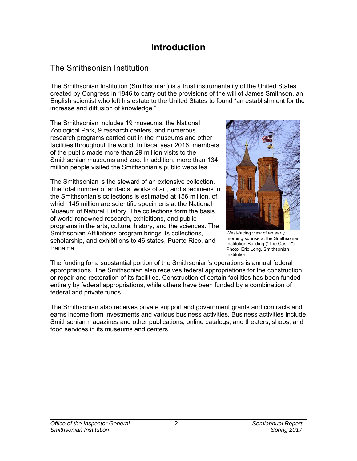# **Introduction**

# <span id="page-5-0"></span>The Smithsonian Institution

The Smithsonian Institution (Smithsonian) is a trust instrumentality of the United States created by Congress in 1846 to carry out the provisions of the will of James Smithson, an English scientist who left his estate to the United States to found "an establishment for the increase and diffusion of knowledge."

The Smithsonian includes 19 museums, the National Zoological Park, 9 research centers, and numerous research programs carried out in the museums and other facilities throughout the world. In fiscal year 2016, members of the public made more than 29 million visits to the Smithsonian museums and zoo. In addition, more than 134 million people visited the Smithsonian's public websites.

The Smithsonian is the steward of an extensive collection. The total number of artifacts, works of art, and specimens in the Smithsonian's collections is estimated at 156 million, of which 145 million are scientific specimens at the National Museum of Natural History. The collections form the basis of world-renowned research, exhibitions, and public programs in the arts, culture, history, and the sciences. The Smithsonian Affiliations program brings its collections, scholarship, and exhibitions to 46 states, Puerto Rico, and Panama.



West-facing view of an early morning sunrise at the Smithsonian Institution Building ("The Castle"). Photo: Eric Long, Smithsonian Institution.

The funding for a substantial portion of the Smithsonian's operations is annual federal appropriations. The Smithsonian also receives federal appropriations for the construction or repair and restoration of its facilities. Construction of certain facilities has been funded entirely by federal appropriations, while others have been funded by a combination of federal and private funds.

The Smithsonian also receives private support and government grants and contracts and earns income from investments and various business activities. Business activities include Smithsonian magazines and other publications; online catalogs; and theaters, shops, and food services in its museums and centers.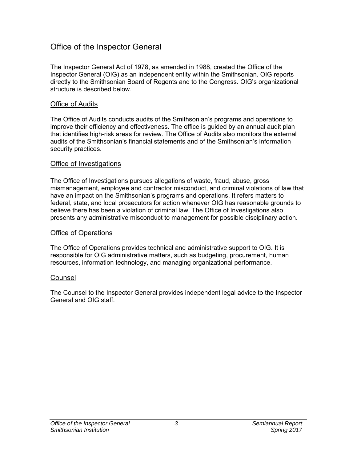### <span id="page-6-0"></span>Office of the Inspector General

The Inspector General Act of 1978, as amended in 1988, created the Office of the Inspector General (OIG) as an independent entity within the Smithsonian. OIG reports directly to the Smithsonian Board of Regents and to the Congress. OIG's organizational structure is described below.

#### Office of Audits

The Office of Audits conducts audits of the Smithsonian's programs and operations to improve their efficiency and effectiveness. The office is guided by an annual audit plan that identifies high-risk areas for review. The Office of Audits also monitors the external audits of the Smithsonian's financial statements and of the Smithsonian's information security practices.

#### Office of Investigations

The Office of Investigations pursues allegations of waste, fraud, abuse, gross mismanagement, employee and contractor misconduct, and criminal violations of law that have an impact on the Smithsonian's programs and operations. It refers matters to federal, state, and local prosecutors for action whenever OIG has reasonable grounds to believe there has been a violation of criminal law. The Office of Investigations also presents any administrative misconduct to management for possible disciplinary action.

#### Office of Operations

The Office of Operations provides technical and administrative support to OIG. It is responsible for OIG administrative matters, such as budgeting, procurement, human resources, information technology, and managing organizational performance.

#### **Counsel**

The Counsel to the Inspector General provides independent legal advice to the Inspector General and OIG staff.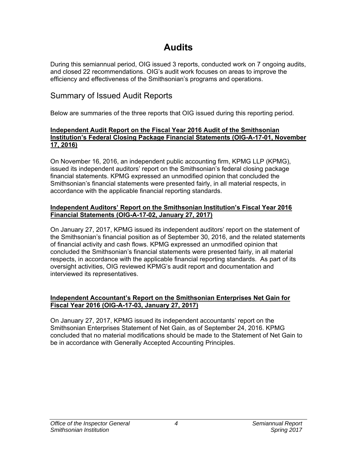# **Audits**

<span id="page-7-0"></span>During this semiannual period, OIG issued 3 reports, conducted work on 7 ongoing audits, and closed 22 recommendations. OIG's audit work focuses on areas to improve the efficiency and effectiveness of the Smithsonian's programs and operations.

### Summary of Issued Audit Reports

Below are summaries of the three reports that OIG issued during this reporting period.

#### **Independent Audit Report on the Fiscal Year 2016 Audit of the Smithsonian [Institution's Federal Closing Package Financial Statements \(OIG-A-17-01, November](https://www.si.edu/Content/OIG/Audits/2017/OIG_A_17_1.pdf)  17, 2016)**

On November 16, 2016, an independent public accounting firm, KPMG LLP (KPMG), issued its independent auditors' report on the Smithsonian's federal closing package financial statements. KPMG expressed an unmodified opinion that concluded the Smithsonian's financial statements were presented fairly, in all material respects, in accordance with the applicable financial reporting standards.

#### **[Independent Auditors' Report on the Smithsonian Institution's Fiscal Year 2016](https://www.si.edu/Content/OIG/Audits/2017/OIG_A_17_02.pdf)  Financial Statements (OIG-A-17-02, January 27, 2017)**

On January 27, 2017, KPMG issued its independent auditors' report on the statement of the Smithsonian's financial position as of September 30, 2016, and the related statements of financial activity and cash flows. KPMG expressed an unmodified opinion that concluded the Smithsonian's financial statements were presented fairly, in all material respects, in accordance with the applicable financial reporting standards. As part of its oversight activities, OIG reviewed KPMG's audit report and documentation and interviewed its representatives.

#### **[Independent Accountant's Report on the Smithsonian Enterprises Net Gain for](https://www.si.edu/Content/OIG/Audits/2017/OIG_A_17_03.pdf)  Fiscal Year 2016 (OIG-A-17-03, January 27, 2017)**

On January 27, 2017, KPMG issued its independent accountants' report on the Smithsonian Enterprises Statement of Net Gain, as of September 24, 2016. KPMG concluded that no material modifications should be made to the Statement of Net Gain to be in accordance with Generally Accepted Accounting Principles.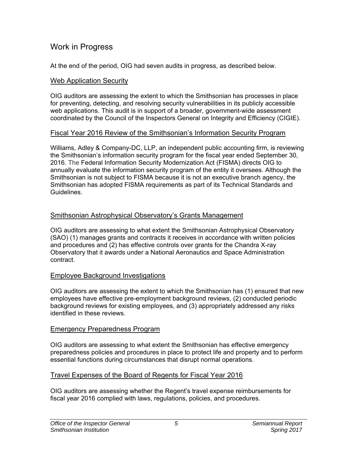### <span id="page-8-0"></span>Work in Progress

At the end of the period, OIG had seven audits in progress, as described below.

#### Web Application Security

OIG auditors are assessing the extent to which the Smithsonian has processes in place for preventing, detecting, and resolving security vulnerabilities in its publicly accessible web applications. This audit is in support of a broader, government-wide assessment coordinated by the Council of the Inspectors General on Integrity and Efficiency (CIGIE).

#### Fiscal Year 2016 Review of the Smithsonian's Information Security Program

Williams, Adley & Company-DC, LLP, an independent public accounting firm, is reviewing the Smithsonian's information security program for the fiscal year ended September 30, 2016. The Federal Information Security Modernization Act (FISMA) directs OIG to annually evaluate the information security program of the entity it oversees. Although the Smithsonian is not subject to FISMA because it is not an executive branch agency, the Smithsonian has adopted FISMA requirements as part of its Technical Standards and **Guidelines** 

#### Smithsonian Astrophysical Observatory's Grants Management

OIG auditors are assessing to what extent the Smithsonian Astrophysical Observatory (SAO) (1) manages grants and contracts it receives in accordance with written policies and procedures and (2) has effective controls over grants for the Chandra X-ray Observatory that it awards under a National Aeronautics and Space Administration contract.

#### Employee Background Investigations

OIG auditors are assessing the extent to which the Smithsonian has (1) ensured that new employees have effective pre-employment background reviews, (2) conducted periodic background reviews for existing employees, and (3) appropriately addressed any risks identified in these reviews.

#### Emergency Preparedness Program

OIG auditors are assessing to what extent the Smithsonian has effective emergency preparedness policies and procedures in place to protect life and property and to perform essential functions during circumstances that disrupt normal operations.

#### Travel Expenses of the Board of Regents for Fiscal Year 2016

OIG auditors are assessing whether the Regent's travel expense reimbursements for fiscal year 2016 complied with laws, regulations, policies, and procedures.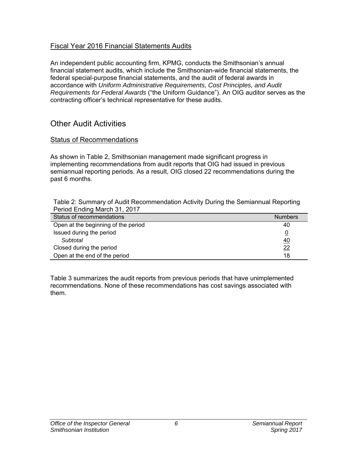#### <span id="page-9-0"></span>Fiscal Year 2016 Financial Statements Audits

An independent public accounting firm, KPMG, conducts the Smithsonian's annual financial statement audits, which include the Smithsonian-wide financial statements, the federal special-purpose financial statements, and the audit of federal awards in accordance with *Uniform Administrative Requirements, Cost Principles, and Audit Requirements for Federal Awards* ("the Uniform Guidance"). An OIG auditor serves as the contracting officer's technical representative for these audits.

# Other Audit Activities

#### **Status of Recommendations**

As shown in Table 2, Smithsonian management made significant progress in implementing recommendations from audit reports that OIG had issued in previous semiannual reporting periods. As a result, OIG closed 22 recommendations during the past 6 months.

Table 2: Summary of Audit Recommendation Activity During the Semiannual Reporting Period Ending March 31, 2017

| Status of recommendations           | <b>Numbers</b> |
|-------------------------------------|----------------|
| Open at the beginning of the period | 40             |
| Issued during the period            |                |
| Subtotal                            | 40             |
| Closed during the period            | 22             |
| Open at the end of the period       | 18             |

Table 3 summarizes the audit reports from previous periods that have unimplemented recommendations. None of these recommendations has cost savings associated with them.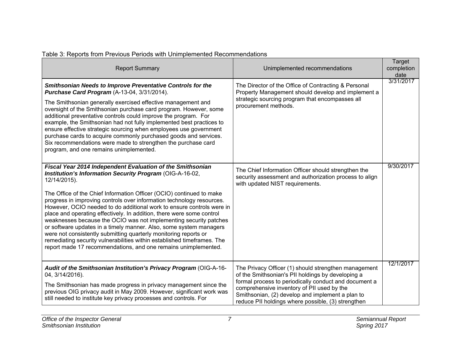| <b>Report Summary</b>                                                                                                                                                                                                                                                                                                                                                                                                                                                                                                                                                                                                                                                                                                                                                                                 | Unimplemented recommendations                                                                                                                                                                                                                                                                                              | Target<br>completion<br>date |
|-------------------------------------------------------------------------------------------------------------------------------------------------------------------------------------------------------------------------------------------------------------------------------------------------------------------------------------------------------------------------------------------------------------------------------------------------------------------------------------------------------------------------------------------------------------------------------------------------------------------------------------------------------------------------------------------------------------------------------------------------------------------------------------------------------|----------------------------------------------------------------------------------------------------------------------------------------------------------------------------------------------------------------------------------------------------------------------------------------------------------------------------|------------------------------|
| Smithsonian Needs to Improve Preventative Controls for the<br>Purchase Card Program (A-13-04, 3/31/2014).<br>The Smithsonian generally exercised effective management and<br>oversight of the Smithsonian purchase card program. However, some<br>additional preventative controls could improve the program. For<br>example, the Smithsonian had not fully implemented best practices to<br>ensure effective strategic sourcing when employees use government<br>purchase cards to acquire commonly purchased goods and services.<br>Six recommendations were made to strengthen the purchase card<br>program, and one remains unimplemented.                                                                                                                                                        | The Director of the Office of Contracting & Personal<br>Property Management should develop and implement a<br>strategic sourcing program that encompasses all<br>procurement methods.                                                                                                                                      | 3/31/2017                    |
| Fiscal Year 2014 Independent Evaluation of the Smithsonian<br>Institution's Information Security Program (OIG-A-16-02,<br>12/14/2015).<br>The Office of the Chief Information Officer (OCIO) continued to make<br>progress in improving controls over information technology resources.<br>However, OCIO needed to do additional work to ensure controls were in<br>place and operating effectively. In addition, there were some control<br>weaknesses because the OCIO was not implementing security patches<br>or software updates in a timely manner. Also, some system managers<br>were not consistently submitting quarterly monitoring reports or<br>remediating security vulnerabilities within established timeframes. The<br>report made 17 recommendations, and one remains unimplemented. | The Chief Information Officer should strengthen the<br>security assessment and authorization process to align<br>with updated NIST requirements.                                                                                                                                                                           | 9/30/2017                    |
| Audit of the Smithsonian Institution's Privacy Program (OIG-A-16-<br>04, 3/14/2016).<br>The Smithsonian has made progress in privacy management since the<br>previous OIG privacy audit in May 2009. However, significant work was<br>still needed to institute key privacy processes and controls. For                                                                                                                                                                                                                                                                                                                                                                                                                                                                                               | The Privacy Officer (1) should strengthen management<br>of the Smithsonian's PII holdings by developing a<br>formal process to periodically conduct and document a<br>comprehensive inventory of PII used by the<br>Smithsonian, (2) develop and implement a plan to<br>reduce PII holdings where possible, (3) strengthen | 12/1/2017                    |

#### <span id="page-10-0"></span>Table 3: Reports from Previous Periods with Unimplemented Recommendations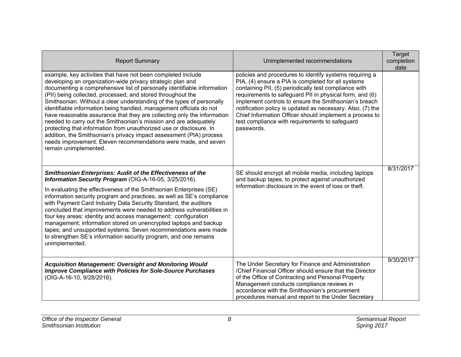| <b>Report Summary</b>                                                                                                                                                                                                                                                                                                                                                                                                                                                                                                                                                                                                                                                                                                                                                                                        | Unimplemented recommendations                                                                                                                                                                                                                                                                                                                                                                                                                                                       | <b>Target</b><br>completion<br>date |
|--------------------------------------------------------------------------------------------------------------------------------------------------------------------------------------------------------------------------------------------------------------------------------------------------------------------------------------------------------------------------------------------------------------------------------------------------------------------------------------------------------------------------------------------------------------------------------------------------------------------------------------------------------------------------------------------------------------------------------------------------------------------------------------------------------------|-------------------------------------------------------------------------------------------------------------------------------------------------------------------------------------------------------------------------------------------------------------------------------------------------------------------------------------------------------------------------------------------------------------------------------------------------------------------------------------|-------------------------------------|
| example, key activities that have not been completed include<br>developing an organization-wide privacy strategic plan and<br>documenting a comprehensive list of personally identifiable information<br>(PII) being collected, processed, and stored throughout the<br>Smithsonian. Without a clear understanding of the types of personally<br>identifiable information being handled, management officials do not<br>have reasonable assurance that they are collecting only the information<br>needed to carry out the Smithsonian's mission and are adequately<br>protecting that information from unauthorized use or disclosure. In<br>addition, the Smithsonian's privacy impact assessment (PIA) process<br>needs improvement. Eleven recommendations were made, and seven<br>remain unimplemented. | policies and procedures to identify systems requiring a<br>PIA, (4) ensure a PIA is completed for all systems<br>containing PII, (5) periodically test compliance with<br>requirements to safeguard PII in physical form, and (6)<br>implement controls to ensure the Smithsonian's breach<br>notification policy is updated as necessary. Also, (7) the<br>Chief Information Officer should implement a process to<br>test compliance with requirements to safeguard<br>passwords. |                                     |
| Smithsonian Enterprises: Audit of the Effectiveness of the<br>Information Security Program (OIG-A-16-05, 3/25/2016).<br>In evaluating the effectiveness of the Smithsonian Enterprises (SE)<br>information security program and practices, as well as SE's compliance<br>with Payment Card Industry Data Security Standard, the auditors<br>concluded that improvements were needed to address vulnerabilities in<br>four key areas: identity and access management; configuration<br>management; information stored on unencrypted laptops and backup<br>tapes; and unsupported systems. Seven recommendations were made<br>to strengthen SE's information security program, and one remains<br>unimplemented.                                                                                              | SE should encrypt all mobile media, including laptops<br>and backup tapes, to protect against unauthorized<br>information disclosure in the event of loss or theft.                                                                                                                                                                                                                                                                                                                 | 8/31/2017                           |
| <b>Acquisition Management: Oversight and Monitoring Would</b><br><b>Improve Compliance with Policies for Sole-Source Purchases</b><br>(OIG-A-16-10, 9/28/2016).                                                                                                                                                                                                                                                                                                                                                                                                                                                                                                                                                                                                                                              | The Under Secretary for Finance and Administration<br>/Chief Financial Officer should ensure that the Director<br>of the Office of Contracting and Personal Property<br>Management conducts compliance reviews in<br>accordance with the Smithsonian's procurement<br>procedures manual and report to the Under Secretary                                                                                                                                                           | 9/30/2017                           |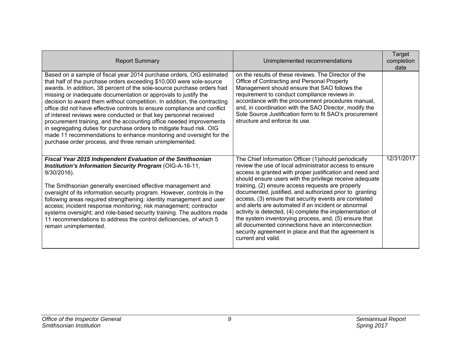| <b>Report Summary</b>                                                                                                                                                                                                                                                                                                                                                                                                                                                                                                                                                                                                                                                                                                                                                                                    | Unimplemented recommendations                                                                                                                                                                                                                                                                                                                                                                                                                                                                                                                                                                                                                                                                                                     | Target<br>completion<br>date |
|----------------------------------------------------------------------------------------------------------------------------------------------------------------------------------------------------------------------------------------------------------------------------------------------------------------------------------------------------------------------------------------------------------------------------------------------------------------------------------------------------------------------------------------------------------------------------------------------------------------------------------------------------------------------------------------------------------------------------------------------------------------------------------------------------------|-----------------------------------------------------------------------------------------------------------------------------------------------------------------------------------------------------------------------------------------------------------------------------------------------------------------------------------------------------------------------------------------------------------------------------------------------------------------------------------------------------------------------------------------------------------------------------------------------------------------------------------------------------------------------------------------------------------------------------------|------------------------------|
| Based on a sample of fiscal year 2014 purchase orders, OIG estimated<br>that half of the purchase orders exceeding \$10,000 were sole-source<br>awards. In addition, 38 percent of the sole-source purchase orders had<br>missing or inadequate documentation or approvals to justify the<br>decision to award them without competition. In addition, the contracting<br>office did not have effective controls to ensure compliance and conflict<br>of interest reviews were conducted or that key personnel received<br>procurement training, and the accounting office needed improvements<br>in segregating duties for purchase orders to mitigate fraud risk. OIG<br>made 11 recommendations to enhance monitoring and oversight for the<br>purchase order process, and three remain unimplemented. | on the results of these reviews. The Director of the<br>Office of Contracting and Personal Property<br>Management should ensure that SAO follows the<br>requirement to conduct compliance reviews in<br>accordance with the procurement procedures manual,<br>and, in coordination with the SAO Director, modify the<br>Sole Source Justification form to fit SAO's procurement<br>structure and enforce its use.                                                                                                                                                                                                                                                                                                                 |                              |
| Fiscal Year 2015 Independent Evaluation of the Smithsonian<br>Institution's Information Security Program (OIG-A-16-11,<br>9/30/2016).<br>The Smithsonian generally exercised effective management and<br>oversight of its information security program. However, controls in the<br>following areas required strengthening: identity management and user<br>access; incident response monitoring; risk management; contractor<br>systems oversight; and role-based security training. The auditors made<br>11 recommendations to address the control deficiencies, of which 5<br>remain unimplemented.                                                                                                                                                                                                   | The Chief Information Officer (1) should periodically<br>review the use of local administrator access to ensure<br>access is granted with proper justification and need and<br>should ensure users with the privilege receive adequate<br>training, (2) ensure access requests are properly<br>documented, justified, and authorized prior to granting<br>access, (3) ensure that security events are correlated<br>and alerts are automated if an incident or abnormal<br>activity is detected, (4) complete the implementation of<br>the system inventorying process, and, (5) ensure that<br>all documented connections have an interconnection<br>security agreement in place and that the agreement is<br>current and valid. | 12/31/2017                   |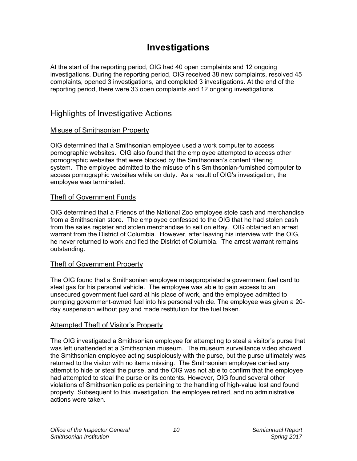# **Investigations**

<span id="page-13-0"></span>At the start of the reporting period, OIG had 40 open complaints and 12 ongoing investigations. During the reporting period, OIG received 38 new complaints, resolved 45 complaints, opened 3 investigations, and completed 3 investigations. At the end of the reporting period, there were 33 open complaints and 12 ongoing investigations.

### Highlights of Investigative Actions

#### Misuse of Smithsonian Property

OIG determined that a Smithsonian employee used a work computer to access pornographic websites. OIG also found that the employee attempted to access other pornographic websites that were blocked by the Smithsonian's content filtering system. The employee admitted to the misuse of his Smithsonian-furnished computer to access pornographic websites while on duty. As a result of OIG's investigation, the employee was terminated.

#### Theft of Government Funds

OIG determined that a Friends of the National Zoo employee stole cash and merchandise from a Smithsonian store. The employee confessed to the OIG that he had stolen cash from the sales register and stolen merchandise to sell on eBay. OIG obtained an arrest warrant from the District of Columbia. However, after leaving his interview with the OIG, he never returned to work and fled the District of Columbia. The arrest warrant remains outstanding.

#### Theft of Government Property

The OIG found that a Smithsonian employee misappropriated a government fuel card to steal gas for his personal vehicle. The employee was able to gain access to an unsecured government fuel card at his place of work, and the employee admitted to pumping government-owned fuel into his personal vehicle. The employee was given a 20 day suspension without pay and made restitution for the fuel taken.

#### Attempted Theft of Visitor's Property

The OIG investigated a Smithsonian employee for attempting to steal a visitor's purse that was left unattended at a Smithsonian museum. The museum surveillance video showed the Smithsonian employee acting suspiciously with the purse, but the purse ultimately was returned to the visitor with no items missing. The Smithsonian employee denied any attempt to hide or steal the purse, and the OIG was not able to confirm that the employee had attempted to steal the purse or its contents. However, OIG found several other violations of Smithsonian policies pertaining to the handling of high-value lost and found property. Subsequent to this investigation, the employee retired, and no administrative actions were taken.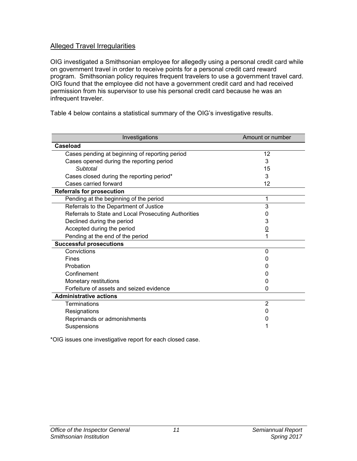#### <span id="page-14-0"></span>Alleged Travel Irregularities

OIG investigated a Smithsonian employee for allegedly using a personal credit card while on government travel in order to receive points for a personal credit card reward program. Smithsonian policy requires frequent travelers to use a government travel card. OIG found that the employee did not have a government credit card and had received permission from his supervisor to use his personal credit card because he was an infrequent traveler.

Table 4 below contains a statistical summary of the OIG's investigative results.

| Investigations                                       | Amount or number |
|------------------------------------------------------|------------------|
| <b>Caseload</b>                                      |                  |
| Cases pending at beginning of reporting period       | 12               |
| Cases opened during the reporting period             | 3                |
| Subtotal                                             | 15               |
| Cases closed during the reporting period*            | 3                |
| Cases carried forward                                | 12               |
| <b>Referrals for prosecution</b>                     |                  |
| Pending at the beginning of the period               | 1                |
| Referrals to the Department of Justice               | 3                |
| Referrals to State and Local Prosecuting Authorities | O                |
| Declined during the period                           | 3                |
| Accepted during the period                           | <u>0</u>         |
| Pending at the end of the period                     |                  |
| <b>Successful prosecutions</b>                       |                  |
| Convictions                                          | $\Omega$         |
| Fines                                                |                  |
| Probation                                            |                  |
| Confinement                                          |                  |
| Monetary restitutions                                |                  |
| Forfeiture of assets and seized evidence             | 0                |
| <b>Administrative actions</b>                        |                  |
| Terminations                                         | $\overline{2}$   |
| Resignations                                         |                  |
| Reprimands or admonishments                          |                  |
| Suspensions                                          |                  |

\*OIG issues one investigative report for each closed case.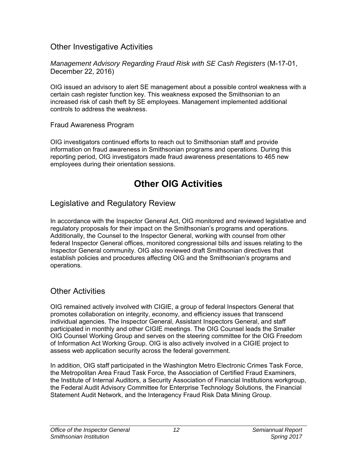### <span id="page-15-0"></span>Other Investigative Activities

*Management Advisory Regarding Fraud Risk with SE Cash Registers* (M-17-01, December 22, 2016)

OIG issued an advisory to alert SE management about a possible control weakness with a certain cash register function key. This weakness exposed the Smithsonian to an increased risk of cash theft by SE employees. Management implemented additional controls to address the weakness.

#### Fraud Awareness Program

OIG investigators continued efforts to reach out to Smithsonian staff and provide information on fraud awareness in Smithsonian programs and operations. During this reporting period, OIG investigators made fraud awareness presentations to 465 new employees during their orientation sessions.

# **Other OIG Activities**

# Legislative and Regulatory Review

In accordance with the Inspector General Act, OIG monitored and reviewed legislative and regulatory proposals for their impact on the Smithsonian's programs and operations. Additionally, the Counsel to the Inspector General, working with counsel from other federal Inspector General offices, monitored congressional bills and issues relating to the Inspector General community. OIG also reviewed draft Smithsonian directives that establish policies and procedures affecting OIG and the Smithsonian's programs and operations.

# Other Activities

OIG remained actively involved with CIGIE, a group of federal Inspectors General that promotes collaboration on integrity, economy, and efficiency issues that transcend individual agencies. The Inspector General, Assistant Inspectors General, and staff participated in monthly and other CIGIE meetings. The OIG Counsel leads the Smaller OIG Counsel Working Group and serves on the steering committee for the OIG Freedom of Information Act Working Group. OIG is also actively involved in a CIGIE project to assess web application security across the federal government.

In addition, OIG staff participated in the Washington Metro Electronic Crimes Task Force, the Metropolitan Area Fraud Task Force, the Association of Certified Fraud Examiners, the Institute of Internal Auditors, a Security Association of Financial Institutions workgroup, the Federal Audit Advisory Committee for Enterprise Technology Solutions, the Financial Statement Audit Network, and the Interagency Fraud Risk Data Mining Group.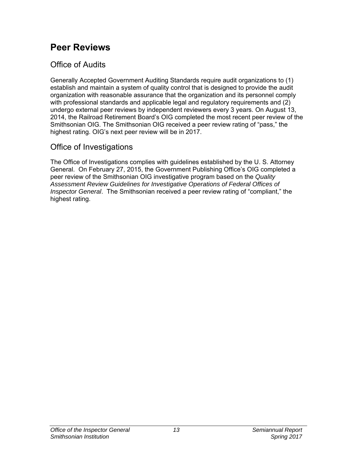# <span id="page-16-0"></span>**Peer Reviews**

# Office of Audits

Generally Accepted Government Auditing Standards require audit organizations to (1) establish and maintain a system of quality control that is designed to provide the audit organization with reasonable assurance that the organization and its personnel comply with professional standards and applicable legal and regulatory requirements and (2) undergo external peer reviews by independent reviewers every 3 years. On August 13, 2014, the Railroad Retirement Board's OIG completed the most recent peer review of the Smithsonian OIG. The Smithsonian OIG received a peer review rating of "pass," the highest rating. OIG's next peer review will be in 2017.

# Office of Investigations

The Office of Investigations complies with guidelines established by the U. S. Attorney General. On February 27, 2015, the Government Publishing Office's OIG completed a peer review of the Smithsonian OIG investigative program based on the *Quality Assessment Review Guidelines for Investigative Operations of Federal Offices of Inspector General*. The Smithsonian received a peer review rating of "compliant," the highest rating.